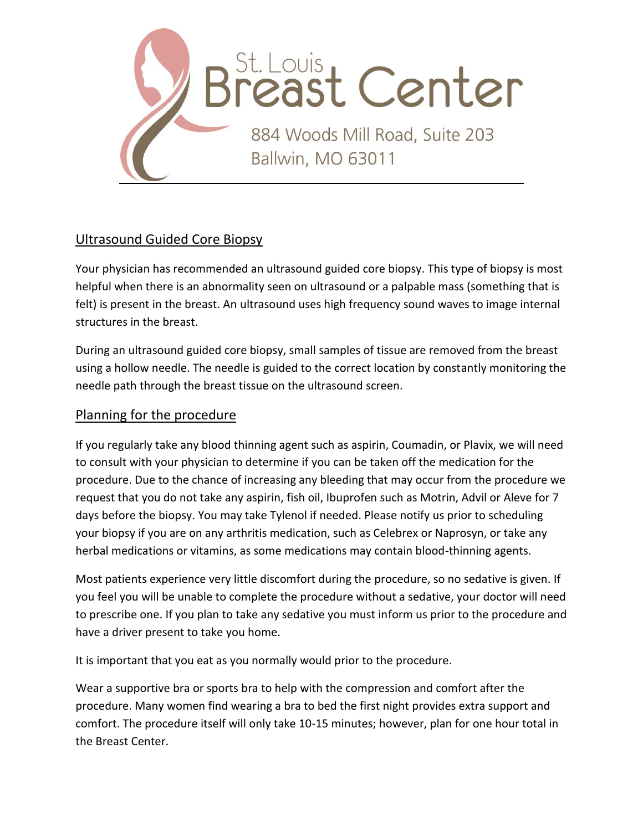

## Ultrasound Guided Core Biopsy

Your physician has recommended an ultrasound guided core biopsy. This type of biopsy is most helpful when there is an abnormality seen on ultrasound or a palpable mass (something that is felt) is present in the breast. An ultrasound uses high frequency sound waves to image internal structures in the breast.

During an ultrasound guided core biopsy, small samples of tissue are removed from the breast using a hollow needle. The needle is guided to the correct location by constantly monitoring the needle path through the breast tissue on the ultrasound screen.

## Planning for the procedure

If you regularly take any blood thinning agent such as aspirin, Coumadin, or Plavix, we will need to consult with your physician to determine if you can be taken off the medication for the procedure. Due to the chance of increasing any bleeding that may occur from the procedure we request that you do not take any aspirin, fish oil, Ibuprofen such as Motrin, Advil or Aleve for 7 days before the biopsy. You may take Tylenol if needed. Please notify us prior to scheduling your biopsy if you are on any arthritis medication, such as Celebrex or Naprosyn, or take any herbal medications or vitamins, as some medications may contain blood-thinning agents.

Most patients experience very little discomfort during the procedure, so no sedative is given. If you feel you will be unable to complete the procedure without a sedative, your doctor will need to prescribe one. If you plan to take any sedative you must inform us prior to the procedure and have a driver present to take you home.

It is important that you eat as you normally would prior to the procedure.

Wear a supportive bra or sports bra to help with the compression and comfort after the procedure. Many women find wearing a bra to bed the first night provides extra support and comfort. The procedure itself will only take 10-15 minutes; however, plan for one hour total in the Breast Center.